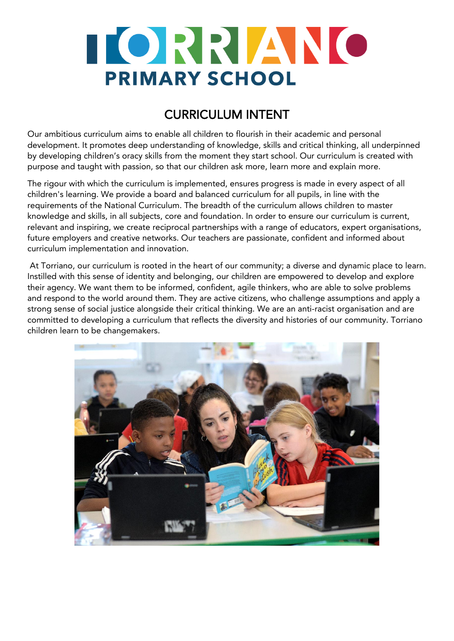

### CURRICULUM INTENT

Our ambitious curriculum aims to enable all children to flourish in their academic and personal development. It promotes deep understanding of knowledge, skills and critical thinking, all underpinned by developing children's oracy skills from the moment they start school. Our curriculum is created with purpose and taught with passion, so that our children ask more, learn more and explain more.

The rigour with which the curriculum is implemented, ensures progress is made in every aspect of all children's learning. We provide a board and balanced curriculum for all pupils, in line with the requirements of the National Curriculum. The breadth of the curriculum allows children to master knowledge and skills, in all subjects, core and foundation. In order to ensure our curriculum is current, relevant and inspiring, we create reciprocal partnerships with a range of educators, expert organisations, future employers and creative networks. Our teachers are passionate, confident and informed about curriculum implementation and innovation.

At Torriano, our curriculum is rooted in the heart of our community; a diverse and dynamic place to learn. Instilled with this sense of identity and belonging, our children are empowered to develop and explore their agency. We want them to be informed, confident, agile thinkers, who are able to solve problems and respond to the world around them. They are active citizens, who challenge assumptions and apply a strong sense of social justice alongside their critical thinking. We are an anti-racist organisation and are committed to developing a curriculum that reflects the diversity and histories of our community. Torriano children learn to be changemakers.

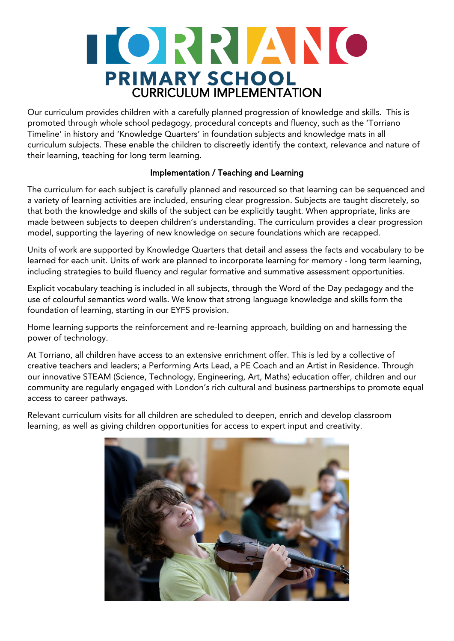## TORRIANO **PRIMARY SCHOOL**<br>CURRICULUM IMPLEMENTATION

Our curriculum provides children with a carefully planned progression of knowledge and skills. This is promoted through whole school pedagogy, procedural concepts and fluency, such as the 'Torriano Timeline' in history and 'Knowledge Quarters' in foundation subjects and knowledge mats in all curriculum subjects. These enable the children to discreetly identify the context, relevance and nature of their learning, teaching for long term learning.

#### Implementation / Teaching and Learning

The curriculum for each subject is carefully planned and resourced so that learning can be sequenced and a variety of learning activities are included, ensuring clear progression. Subjects are taught discretely, so that both the knowledge and skills of the subject can be explicitly taught. When appropriate, links are made between subjects to deepen children's understanding. The curriculum provides a clear progression model, supporting the layering of new knowledge on secure foundations which are recapped.

Units of work are supported by Knowledge Quarters that detail and assess the facts and vocabulary to be learned for each unit. Units of work are planned to incorporate learning for memory - long term learning, including strategies to build fluency and regular formative and summative assessment opportunities.

Explicit vocabulary teaching is included in all subjects, through the Word of the Day pedagogy and the use of colourful semantics word walls. We know that strong language knowledge and skills form the foundation of learning, starting in our EYFS provision.

Home learning supports the reinforcement and re-learning approach, building on and harnessing the power of technology.

At Torriano, all children have access to an extensive enrichment offer. This is led by a collective of creative teachers and leaders; a Performing Arts Lead, a PE Coach and an Artist in Residence. Through our innovative STEAM (Science, Technology, Engineering, Art, Maths) education offer, children and our community are regularly engaged with London's rich cultural and business partnerships to promote equal access to career pathways.

Relevant curriculum visits for all children are scheduled to deepen, enrich and develop classroom learning, as well as giving children opportunities for access to expert input and creativity.

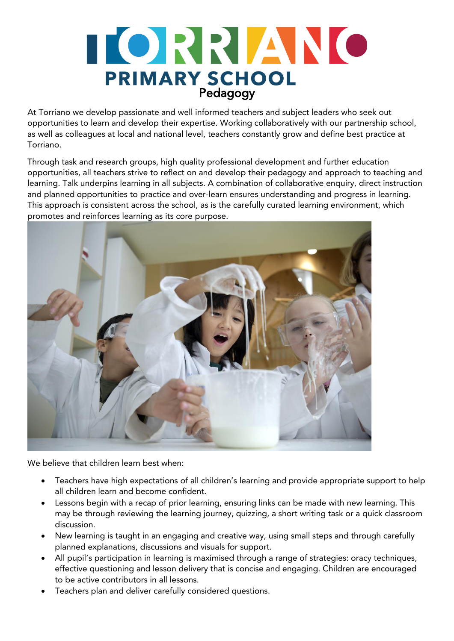# TORRIANO **PRIMARY SCHOOL**<br>Pedagogy

At Torriano we develop passionate and well informed teachers and subject leaders who seek out opportunities to learn and develop their expertise. Working collaboratively with our partnership school, as well as colleagues at local and national level, teachers constantly grow and define best practice at Torriano.

Through task and research groups, high quality professional development and further education opportunities, all teachers strive to reflect on and develop their pedagogy and approach to teaching and learning. Talk underpins learning in all subjects. A combination of collaborative enquiry, direct instruction and planned opportunities to practice and over-learn ensures understanding and progress in learning. This approach is consistent across the school, as is the carefully curated learning environment, which promotes and reinforces learning as its core purpose.



We believe that children learn best when:

- Teachers have high expectations of all children's learning and provide appropriate support to help all children learn and become confident.
- Lessons begin with a recap of prior learning, ensuring links can be made with new learning. This may be through reviewing the learning journey, quizzing, a short writing task or a quick classroom discussion.
- New learning is taught in an engaging and creative way, using small steps and through carefully planned explanations, discussions and visuals for support.
- All pupil's participation in learning is maximised through a range of strategies: oracy techniques, effective questioning and lesson delivery that is concise and engaging. Children are encouraged to be active contributors in all lessons.
- Teachers plan and deliver carefully considered questions.